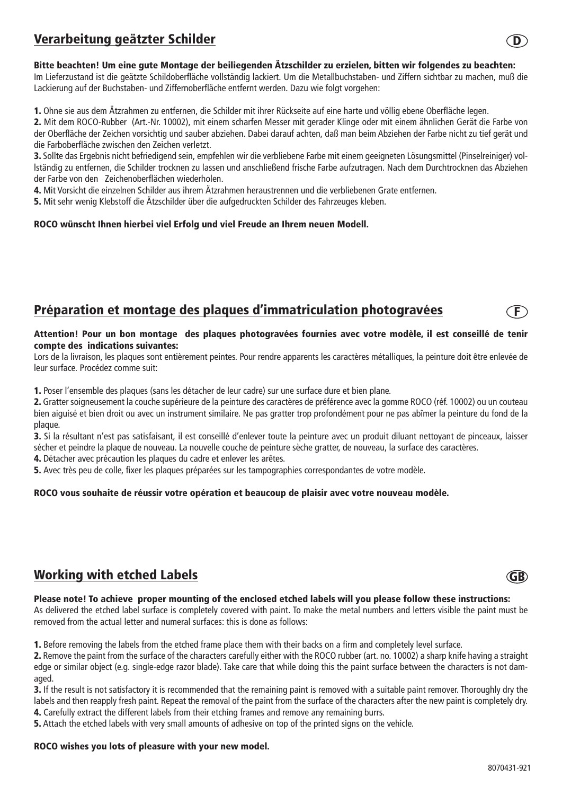# Verarbeitung geätzter Schilder

### Bitte beachten! Um eine gute Montage der beiliegenden Ätzschilder zu erzielen, bitten wir folgendes zu beachten:

Im Lieferzustand ist die geätzte Schildoberfläche vollständig lackiert. Um die Metallbuchstaben- und Ziffern sichtbar zu machen, muß die Lackierung auf der Buchstaben- und Ziffernoberfläche entfernt werden. Dazu wie folgt vorgehen:

1. Ohne sie aus dem Ätzrahmen zu entfernen, die Schilder mit ihrer Rückseite auf eine harte und völlig ebene Oberfläche legen.

2. Mit dem ROCO-Rubber (Art.-Nr. 10002), mit einem scharfen Messer mit gerader Klinge oder mit einem ähnlichen Gerät die Farbe von der Oberfläche der Zeichen vorsichtig und sauber abziehen. Dabei darauf achten, daß man beim Abziehen der Farbe nicht zu tief gerät und die Farboberfläche zwischen den Zeichen verletzt.

3. Sollte das Ergebnis nicht befriedigend sein, empfehlen wir die verbliebene Farbe mit einem geeigneten Lösungsmittel (Pinselreiniger) vollständig zu entfernen, die Schilder trocknen zu lassen und anschließend frische Farbe aufzutragen. Nach dem Durchtrocknen das Abziehen der Farbe von den Zeichenoberflächen wiederholen.

4. Mit Vorsicht die einzelnen Schilder aus ihrem Ätzrahmen heraustrennen und die verbliebenen Grate entfernen.

5. Mit sehr wenig Klebstoff die Ätzschilder über die aufgedruckten Schilder des Fahrzeuges kleben.

#### ROCO wünscht Ihnen hierbei viel Erfolg und viel Freude an Ihrem neuen Modell.

## Préparation et montage des plaques d'immatriculation photogravées

#### Attention! Pour un bon montage des plaques photogravées fournies avec votre modèle, il est conseillé de tenir compte des indications suivantes:

Lors de la livraison, les plaques sont entièrement peintes. Pour rendre apparents les caractères métalliques, la peinture doit être enlevée de leur surface. Procédez comme suit:

1. Poser l'ensemble des plaques (sans les détacher de leur cadre) sur une surface dure et bien plane.

2. Gratter soigneusement la couche supérieure de la peinture des caractères de préférence avec la gomme ROCO (réf. 10002) ou un couteau bien aiguisé et bien droit ou avec un instrument similaire. Ne pas gratter trop profondément pour ne pas abîmer la peinture du fond de la plaque.

3. Si la résultant n'est pas satisfaisant, il est conseillé d'enlever toute la peinture avec un produit diluant nettoyant de pinceaux, laisser sécher et peindre la plaque de nouveau. La nouvelle couche de peinture sèche gratter, de nouveau, la surface des caractères.

4. Détacher avec précaution les plaques du cadre et enlever les arêtes.

5. Avec très peu de colle, fixer les plaques préparées sur les tampographies correspondantes de votre modèle.

### ROCO vous souhaite de réussir votre opération et beaucoup de plaisir avec votre nouveau modèle.

# Working with etched Labels

#### Please note! To achieve proper mounting of the enclosed etched labels will you please follow these instructions:

As delivered the etched label surface is completely covered with paint. To make the metal numbers and letters visible the paint must be removed from the actual letter and numeral surfaces: this is done as follows:

1. Before removing the labels from the etched frame place them with their backs on a firm and completely level surface.

2. Remove the paint from the surface of the characters carefully either with the ROCO rubber (art. no. 10002) a sharp knife having a straight edge or similar object (e.g. single-edge razor blade). Take care that while doing this the paint surface between the characters is not damaged.

3. If the result is not satisfactory it is recommended that the remaining paint is removed with a suitable paint remover. Thoroughly dry the labels and then reapply fresh paint. Repeat the removal of the paint from the surface of the characters after the new paint is completely dry. 4. Carefully extract the different labels from their etching frames and remove any remaining burrs.

5. Attach the etched labels with very small amounts of adhesive on top of the printed signs on the vehicle.

#### ROCO wishes you lots of pleasure with your new model.